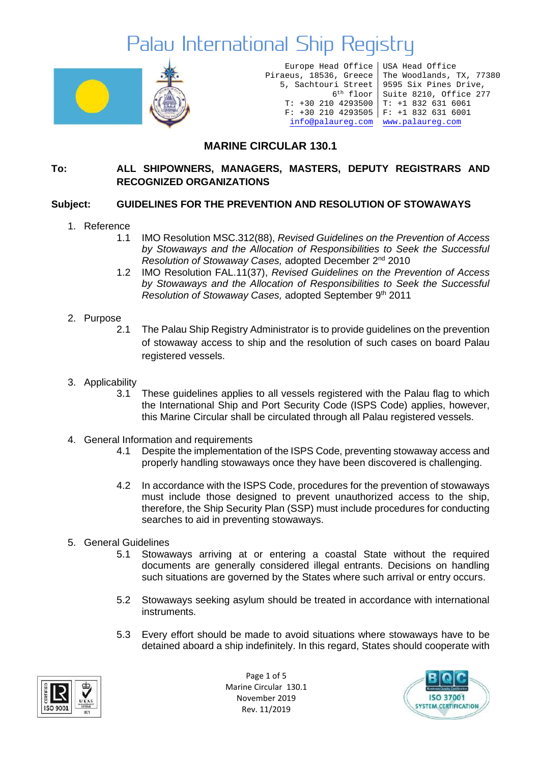

Europe Head Office Piraeus, 18536, Greece 5, Sachtouri Street 6th floor T: +30 210 4293500 T: +1 832 631 6061 F: +30 210 4293505 F: +1 832 631 6001 [info@palaureg.com](mailto:info@palaureg.com) [www.palaureg.com](http://www.palaureg.com/)

USA Head Office The Woodlands, TX, 77380 9595 Six Pines Drive, Suite 8210, Office 277

#### **MARINE CIRCULAR 130.1**

#### **To: ALL SHIPOWNERS, MANAGERS, MASTERS, DEPUTY REGISTRARS AND RECOGNIZED ORGANIZATIONS**

#### **Subject: GUIDELINES FOR THE PREVENTION AND RESOLUTION OF STOWAWAYS**

- 1. Reference
	- 1.1 IMO Resolution MSC.312(88), *Revised Guidelines on the Prevention of Access by Stowaways and the Allocation of Responsibilities to Seek the Successful Resolution of Stowaway Cases,* adopted December 2nd 2010
	- 1.2 IMO Resolution FAL.11(37), *Revised Guidelines on the Prevention of Access by Stowaways and the Allocation of Responsibilities to Seek the Successful Resolution of Stowaway Cases,* adopted September 9th 2011
- 2. Purpose
	- 2.1 The Palau Ship Registry Administrator is to provide guidelines on the prevention of stowaway access to ship and the resolution of such cases on board Palau registered vessels.
- 3. Applicability
	- 3.1 These guidelines applies to all vessels registered with the Palau flag to which the International Ship and Port Security Code (ISPS Code) applies, however, this Marine Circular shall be circulated through all Palau registered vessels.
- 4. General Information and requirements
	- 4.1 Despite the implementation of the ISPS Code, preventing stowaway access and properly handling stowaways once they have been discovered is challenging.
	- 4.2 In accordance with the ISPS Code, procedures for the prevention of stowaways must include those designed to prevent unauthorized access to the ship, therefore, the Ship Security Plan (SSP) must include procedures for conducting searches to aid in preventing stowaways.
- 5. General Guidelines
	- 5.1 Stowaways arriving at or entering a coastal State without the required documents are generally considered illegal entrants. Decisions on handling such situations are governed by the States where such arrival or entry occurs.
	- 5.2 Stowaways seeking asylum should be treated in accordance with international instruments.
	- 5.3 Every effort should be made to avoid situations where stowaways have to be detained aboard a ship indefinitely. In this regard, States should cooperate with



Page 1 of 5 Marine Circular 130.1 November 2019 Rev. 11/2019

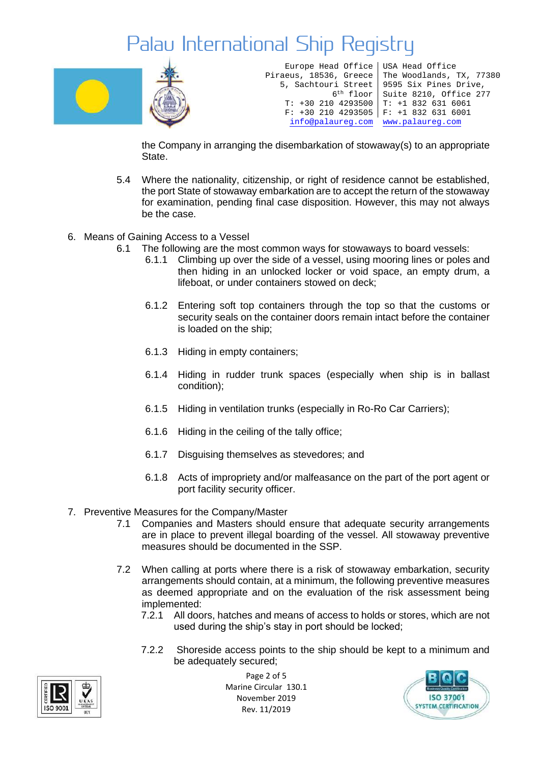

Europe Head Office Piraeus, 18536, Greece 5, Sachtouri Street 6th floor T: +30 210 4293500 T: +1 832 631 6061 F: +30 210 4293505 F: +1 832 631 6001 USA Head Office The Woodlands, TX, 77380 9595 Six Pines Drive, Suite 8210, Office 277 [info@palaureg.com](mailto:info@palaureg.com) [www.palaureg.com](http://www.palaureg.com/)

the Company in arranging the disembarkation of stowaway(s) to an appropriate State.

- 5.4 Where the nationality, citizenship, or right of residence cannot be established, the port State of stowaway embarkation are to accept the return of the stowaway for examination, pending final case disposition. However, this may not always be the case.
- 6. Means of Gaining Access to a Vessel
	- 6.1 The following are the most common ways for stowaways to board vessels:
		- 6.1.1 Climbing up over the side of a vessel, using mooring lines or poles and then hiding in an unlocked locker or void space, an empty drum, a lifeboat, or under containers stowed on deck;
		- 6.1.2 Entering soft top containers through the top so that the customs or security seals on the container doors remain intact before the container is loaded on the ship;
		- 6.1.3 Hiding in empty containers;
		- 6.1.4 Hiding in rudder trunk spaces (especially when ship is in ballast condition);
		- 6.1.5 Hiding in ventilation trunks (especially in Ro-Ro Car Carriers);
		- 6.1.6 Hiding in the ceiling of the tally office;
		- 6.1.7 Disguising themselves as stevedores; and
		- 6.1.8 Acts of impropriety and/or malfeasance on the part of the port agent or port facility security officer.
- 7. Preventive Measures for the Company/Master
	- 7.1 Companies and Masters should ensure that adequate security arrangements are in place to prevent illegal boarding of the vessel. All stowaway preventive measures should be documented in the SSP.
	- 7.2 When calling at ports where there is a risk of stowaway embarkation, security arrangements should contain, at a minimum, the following preventive measures as deemed appropriate and on the evaluation of the risk assessment being implemented:
		- 7.2.1 All doors, hatches and means of access to holds or stores, which are not used during the ship's stay in port should be locked;
		- 7.2.2 Shoreside access points to the ship should be kept to a minimum and be adequately secured;



Page 2 of 5 Marine Circular 130.1 November 2019 Rev. 11/2019

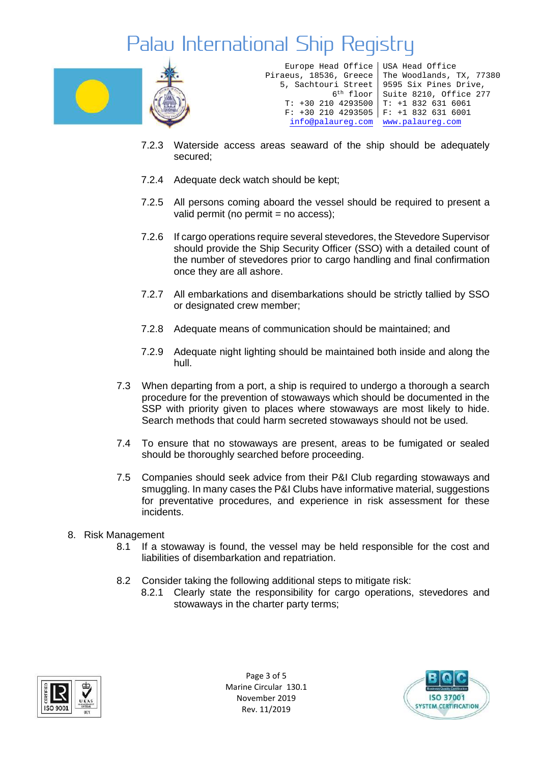

Europe Head Office Piraeus, 18536, Greece 5, Sachtouri Street 6th floor T: +30 210 4293500 T: +1 832 631 6061 F: +30 210 4293505 F: +1 832 631 6001 USA Head Office The Woodlands, TX, 77380 9595 Six Pines Drive, Suite 8210, Office 277 [info@palaureg.com](mailto:info@palaureg.com) [www.palaureg.com](http://www.palaureg.com/)

- 7.2.3 Waterside access areas seaward of the ship should be adequately secured;
- 7.2.4 Adequate deck watch should be kept;
- 7.2.5 All persons coming aboard the vessel should be required to present a valid permit (no permit  $=$  no access);
- 7.2.6 If cargo operations require several stevedores, the Stevedore Supervisor should provide the Ship Security Officer (SSO) with a detailed count of the number of stevedores prior to cargo handling and final confirmation once they are all ashore.
- 7.2.7 All embarkations and disembarkations should be strictly tallied by SSO or designated crew member;
- 7.2.8 Adequate means of communication should be maintained; and
- 7.2.9 Adequate night lighting should be maintained both inside and along the hull.
- 7.3 When departing from a port, a ship is required to undergo a thorough a search procedure for the prevention of stowaways which should be documented in the SSP with priority given to places where stowaways are most likely to hide. Search methods that could harm secreted stowaways should not be used.
- 7.4 To ensure that no stowaways are present, areas to be fumigated or sealed should be thoroughly searched before proceeding.
- 7.5 Companies should seek advice from their P&I Club regarding stowaways and smuggling. In many cases the P&I Clubs have informative material, suggestions for preventative procedures, and experience in risk assessment for these incidents.
- 8. Risk Management
	- 8.1 If a stowaway is found, the vessel may be held responsible for the cost and liabilities of disembarkation and repatriation.
	- 8.2 Consider taking the following additional steps to mitigate risk:
		- 8.2.1 Clearly state the responsibility for cargo operations, stevedores and stowaways in the charter party terms;



Page 3 of 5 Marine Circular 130.1 November 2019 Rev. 11/2019

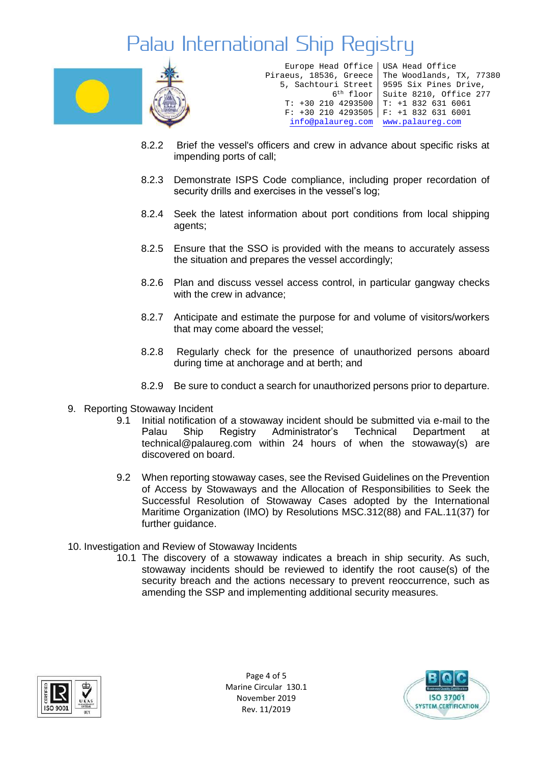

Europe Head Office Piraeus, 18536, Greece 5, Sachtouri Street 6th floor T: +30 210 4293500 T: +1 832 631 6061 F: +30 210 4293505 F: +1 832 631 6001 USA Head Office The Woodlands, TX, 77380 9595 Six Pines Drive, Suite 8210, Office 277 [info@palaureg.com](mailto:info@palaureg.com) [www.palaureg.com](http://www.palaureg.com/)

- 8.2.2 Brief the vessel's officers and crew in advance about specific risks at impending ports of call;
- 8.2.3 Demonstrate ISPS Code compliance, including proper recordation of security drills and exercises in the vessel's log;
- 8.2.4 Seek the latest information about port conditions from local shipping agents;
- 8.2.5 Ensure that the SSO is provided with the means to accurately assess the situation and prepares the vessel accordingly;
- 8.2.6 Plan and discuss vessel access control, in particular gangway checks with the crew in advance:
- 8.2.7 Anticipate and estimate the purpose for and volume of visitors/workers that may come aboard the vessel;
- 8.2.8 Regularly check for the presence of unauthorized persons aboard during time at anchorage and at berth; and
- 8.2.9 Be sure to conduct a search for unauthorized persons prior to departure.
- 9. Reporting Stowaway Incident
	- 9.1 Initial notification of a stowaway incident should be submitted via e-mail to the Palau Ship Registry Administrator's Technical Department at technical@palaureg.com within 24 hours of when the stowaway(s) are discovered on board.
	- 9.2 When reporting stowaway cases, see the Revised Guidelines on the Prevention of Access by Stowaways and the Allocation of Responsibilities to Seek the Successful Resolution of Stowaway Cases adopted by the International Maritime Organization (IMO) by Resolutions MSC.312(88) and FAL.11(37) for further guidance.
- 10. Investigation and Review of Stowaway Incidents
	- 10.1 The discovery of a stowaway indicates a breach in ship security. As such, stowaway incidents should be reviewed to identify the root cause(s) of the security breach and the actions necessary to prevent reoccurrence, such as amending the SSP and implementing additional security measures.



Page 4 of 5 Marine Circular 130.1 November 2019 Rev. 11/2019